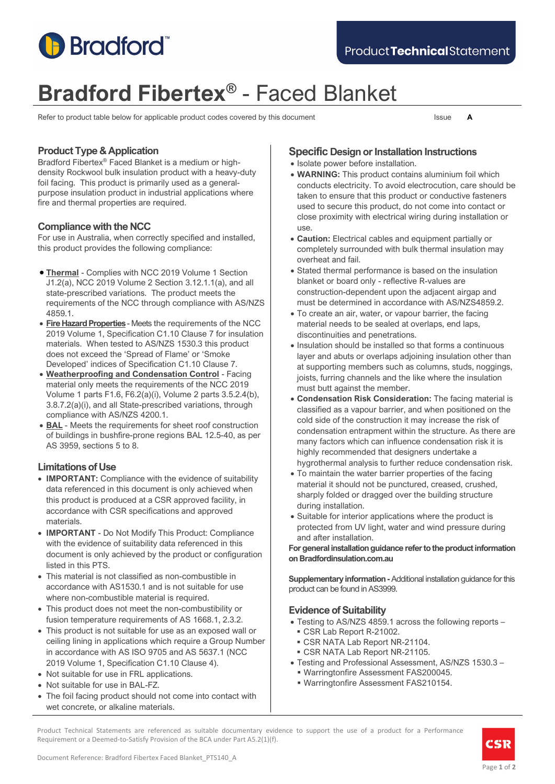

# **Bradford Fibertex®** - Faced Blanket

Refer to product table below for applicable product codes covered by this document Issue **A** 

### **Product Type & Application**

Bradford Fibertex® Faced Blanket is a medium or highdensity Rockwool bulk insulation product with a heavy-duty foil facing. This product is primarily used as a generalpurpose insulation product in industrial applications where fire and thermal properties are required.

### **Compliance with the NCC**

For use in Australia, when correctly specified and installed, this product provides the following compliance:

- **Thermal** Complies with NCC 2019 Volume 1 Section J1.2(a), NCC 2019 Volume 2 Section 3.12.1.1(a), and all state-prescribed variations. The product meets the requirements of the NCC through compliance with AS/NZS 4859.1.
- **Fire Hazard Properties** Meets the requirements of the NCC 2019 Volume 1, Specification C1.10 Clause 7 for insulation materials. When tested to AS/NZS 1530.3 this product does not exceed the 'Spread of Flame' or 'Smoke Developed' indices of Specification C1.10 Clause 7.
- **Weatherproofing and Condensation Control** Facing material only meets the requirements of the NCC 2019 Volume 1 parts F1.6, F6.2(a)(i), Volume 2 parts 3.5.2.4(b), 3.8.7.2(a)(i), and all State-prescribed variations, through compliance with AS/NZS 4200.1.
- **BAL** Meets the requirements for sheet roof construction of buildings in bushfire-prone regions BAL 12.5-40, as per AS 3959, sections 5 to 8.

### **Limitations of Use**

- **IMPORTANT:** Compliance with the evidence of suitability data referenced in this document is only achieved when this product is produced at a CSR approved facility, in accordance with CSR specifications and approved materials.
- **IMPORTANT** Do Not Modify This Product: Compliance with the evidence of suitability data referenced in this document is only achieved by the product or configuration listed in this PTS.
- This material is not classified as non-combustible in accordance with AS1530.1 and is not suitable for use where non-combustible material is required.
- This product does not meet the non-combustibility or fusion temperature requirements of AS 1668.1, 2.3.2.
- This product is not suitable for use as an exposed wall or ceiling lining in applications which require a Group Number in accordance with AS ISO 9705 and AS 5637.1 (NCC 2019 Volume 1, Specification C1.10 Clause 4).
- Not suitable for use in FRL applications.
- Not suitable for use in BAL-FZ.
- The foil facing product should not come into contact with wet concrete, or alkaline materials.

### **Specific Design or Installation Instructions**

- Isolate power before installation.
- **WARNING:** This product contains aluminium foil which conducts electricity. To avoid electrocution, care should be taken to ensure that this product or conductive fasteners used to secure this product, do not come into contact or close proximity with electrical wiring during installation or use.
- **Caution:** Electrical cables and equipment partially or completely surrounded with bulk thermal insulation may overheat and fail.
- Stated thermal performance is based on the insulation blanket or board only - reflective R-values are construction-dependent upon the adjacent airgap and must be determined in accordance with AS/NZS4859.2.
- To create an air, water, or vapour barrier, the facing material needs to be sealed at overlaps, end laps, discontinuities and penetrations.
- Insulation should be installed so that forms a continuous layer and abuts or overlaps adjoining insulation other than at supporting members such as columns, studs, noggings, joists, furring channels and the like where the insulation must butt against the member.
- **Condensation Risk Consideration:** The facing material is classified as a vapour barrier, and when positioned on the cold side of the construction it may increase the risk of condensation entrapment within the structure. As there are many factors which can influence condensation risk it is highly recommended that designers undertake a hygrothermal analysis to further reduce condensation risk.
- To maintain the water barrier properties of the facing material it should not be punctured, creased, crushed, sharply folded or dragged over the building structure during installation.
- Suitable for interior applications where the product is protected from UV light, water and wind pressure during and after installation.

**For general installation guidance refer to the product information on Bradfordinsulation.com.au** 

**Supplementary information -**Additional installation guidance for this product can be found in AS3999.

### **Evidence of Suitability**

- Testing to AS/NZS 4859.1 across the following reports CSR Lab Report R-21002.
	- CSR NATA Lab Report NR-21104.
- CSR NATA Lab Report NR-21105.
- Testing and Professional Assessment, AS/NZS 1530.3
	- Warringtonfire Assessment FAS200045.
	- Warringtonfire Assessment FAS210154.

Product Technical Statements are referenced as suitable documentary evidence to support the use of a product for a Performance Requirement or a Deemed-to-Satisfy Provision of the BCA under Part A5.2(1)(f).